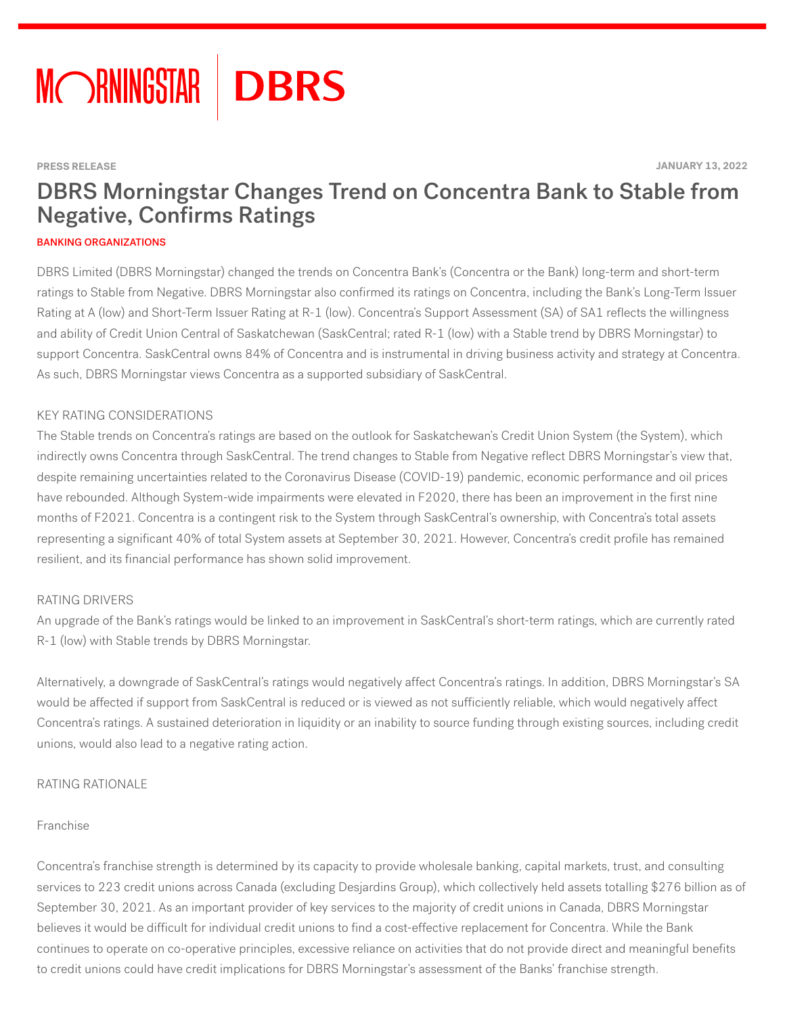

#### **PRESS RELEASE JANUARY 13, 2022**

# DBRS Morningstar Changes Trend on Concentra Bank to Stable from **Negative, Confirms Ratings**

#### BANKING ORGANIZATIONS

DBRS Limited (DBRS Morningstar) changed the trends on Concentra Bank's (Concentra or the Bank) long-term and short-term ratings to Stable from Negative. DBRS Morningstar also confirmed its ratings on Concentra, including the Bank's Long-Term Issuer Rating at A (low) and Short-Term Issuer Rating at R-1 (low). Concentra's Support Assessment (SA) of SA1 reflects the willingness and ability of Credit Union Central of Saskatchewan (SaskCentral; rated R-1 (low) with a Stable trend by DBRS Morningstar) to support Concentra. SaskCentral owns 84% of Concentra and is instrumental in driving business activity and strategy at Concentra. As such, DBRS Morningstar views Concentra as a supported subsidiary of SaskCentral.

#### KEY RATING CONSIDERATIONS

The Stable trends on Concentra's ratings are based on the outlook for Saskatchewan's Credit Union System (the System), which indirectly owns Concentra through SaskCentral. The trend changes to Stable from Negative reflect DBRS Morningstar's view that, despite remaining uncertainties related to the Coronavirus Disease (COVID-19) pandemic, economic performance and oil prices have rebounded. Although System-wide impairments were elevated in F2020, there has been an improvement in the first nine months of F2021. Concentra is a contingent risk to the System through SaskCentral's ownership, with Concentra's total assets representing a significant 40% of total System assets at September 30, 2021. However, Concentra's credit profile has remained resilient, and its financial performance has shown solid improvement.

#### RATING DRIVERS

An upgrade of the Bank's ratings would be linked to an improvement in SaskCentral's short-term ratings, which are currently rated R-1 (low) with Stable trends by DBRS Morningstar.

Alternatively, a downgrade of SaskCentral's ratings would negatively affect Concentra's ratings. In addition, DBRS Morningstar's SA would be affected if support from SaskCentral is reduced or is viewed as not sufficiently reliable, which would negatively affect Concentra's ratings. A sustained deterioration in liquidity or an inability to source funding through existing sources, including credit unions, would also lead to a negative rating action.

#### RATING RATIONALE

#### Franchise

Concentra's franchise strength is determined by its capacity to provide wholesale banking, capital markets, trust, and consulting services to 223 credit unions across Canada (excluding Desjardins Group), which collectively held assets totalling \$276 billion as of September 30, 2021. As an important provider of key services to the majority of credit unions in Canada, DBRS Morningstar believes it would be difficult for individual credit unions to find a cost-effective replacement for Concentra. While the Bank continues to operate on co-operative principles, excessive reliance on activities that do not provide direct and meaningful benefits to credit unions could have credit implications for DBRS Morningstar's assessment of the Banks' franchise strength.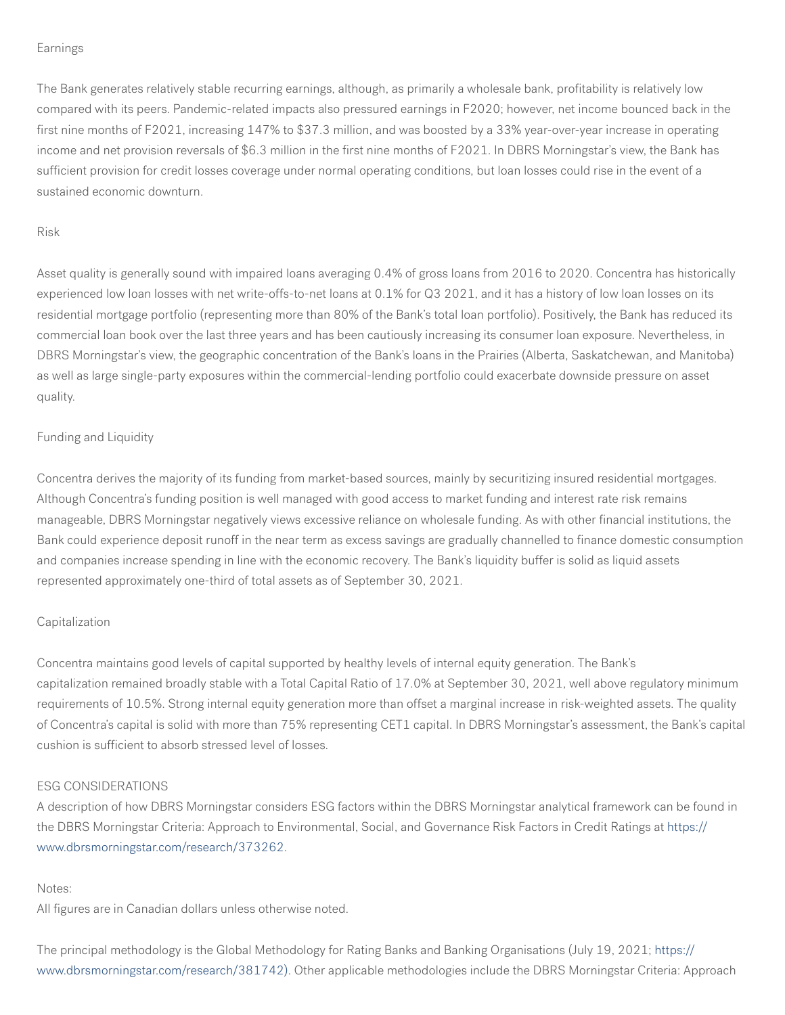#### Earnings

The Bank generates relatively stable recurring earnings, although, as primarily a wholesale bank, profitability is relatively low compared with its peers. Pandemic-related impacts also pressured earnings in F2020; however, net income bounced back in the first nine months of F2021, increasing  $147\%$  to \$37.3 million, and was boosted by a 33% year-over-year increase in operating income and net provision reversals of \$6.3 million in the first nine months of F2021. In DBRS Morningstar's view, the Bank has sufficient provision for credit losses coverage under normal operating conditions, but loan losses could rise in the event of a sustained economic downturn.

## Risk

Asset quality is generally sound with impaired loans averaging 0.4% of gross loans from 2016 to 2020. Concentra has historically experienced low loan losses with net write-offs-to-net loans at 0.1% for Q3 2021, and it has a history of low loan losses on its residential mortgage portfolio (representing more than 80% of the Bank's total loan portfolio). Positively, the Bank has reduced its commercial loan book over the last three years and has been cautiously increasing its consumer loan exposure. Nevertheless, in DBRS Morningstar's view, the geographic concentration of the Bank's loans in the Prairies (Alberta, Saskatchewan, and Manitoba) as well as large single-party exposures within the commercial-lending portfolio could exacerbate downside pressure on asset quality.

## Funding and Liquidity

Concentra derives the majority of its funding from market-based sources, mainly by securitizing insured residential mortgages. Although Concentra's funding position is well managed with good access to market funding and interest rate risk remains manageable, DBRS Morningstar negatively views excessive reliance on wholesale funding. As with other financial institutions, the Bank could experience deposit runoff in the near term as excess savings are gradually channelled to finance domestic consumption and companies increase spending in line with the economic recovery. The Bank's liquidity buffer is solid as liquid assets represented approximately one-third of total assets as of September 30, 2021.

#### **Capitalization**

Concentra maintains good levels of capital supported by healthy levels of internal equity generation. The Bank's capitalization remained broadly stable with a Total Capital Ratio of 17.0% at September 30, 2021, well above regulatory minimum requirements of 10.5%. Strong internal equity generation more than offset a marginal increase in risk-weighted assets. The quality of Concentra's capital is solid with more than 75% representing CET1 capital. In DBRS Morningstar's assessment, the Bank's capital cushion is sufficient to absorb stressed level of losses.

#### ESG CONSIDERATIONS

A description of how DBRS Morningstar considers ESG factors within the DBRS Morningstar analytical framework can be found in the DBRS Morningstar Criteria: Approach to Environmental, Social, and Governance Risk Factors in Credit Ratings at [https://](https://www.dbrsmorningstar.com/research/373262) [www.dbrsmorningstar.com/research/373262.](https://www.dbrsmorningstar.com/research/373262)

#### Notes:

All figures are in Canadian dollars unless otherwise noted.

The principal methodology is the Global Methodology for Rating Banks and Banking Organisations (July 19, 2021; [https://](https://www.dbrsmorningstar.com/research/381742)) [www.dbrsmorningstar.com/research/381742\).](https://www.dbrsmorningstar.com/research/381742)) Other applicable methodologies include the DBRS Morningstar Criteria: Approach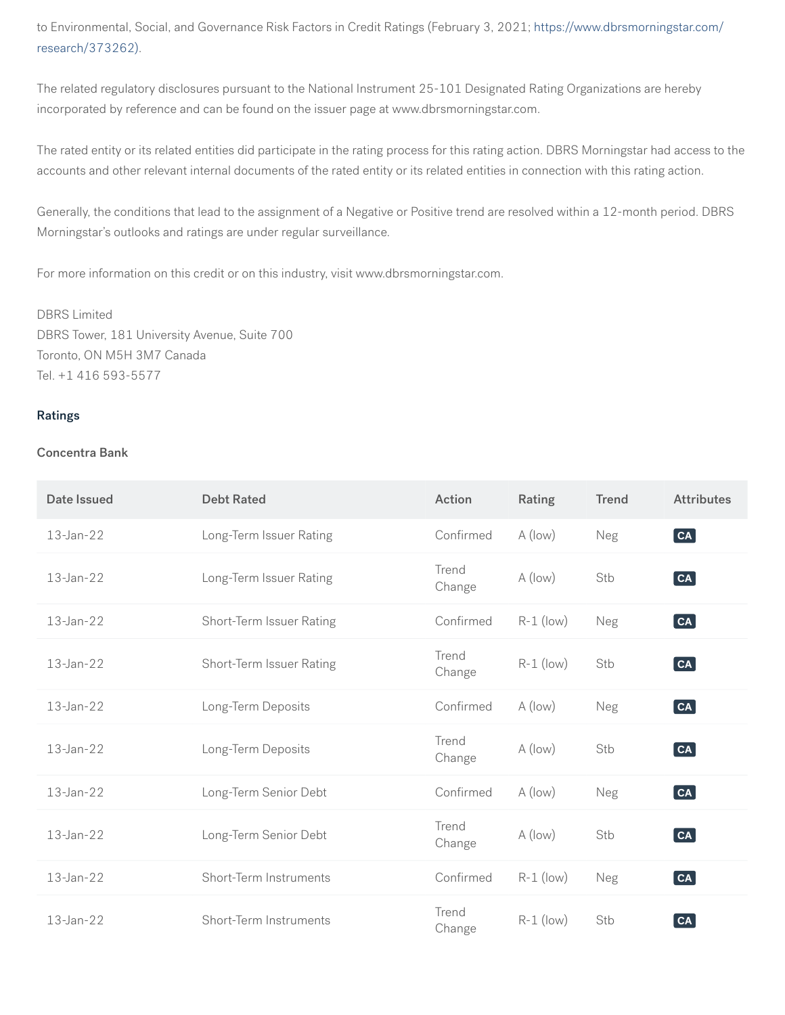to Environmental, Social, and Governance Risk Factors in Credit Ratings (February 3, 2021; [https://www.dbrsmorningstar.com/](https://www.dbrsmorningstar.com/research/373262)) [research/373262\)](https://www.dbrsmorningstar.com/research/373262)).

The related regulatory disclosures pursuant to the National Instrument 25-101 Designated Rating Organizations are hereby incorporated by reference and can be found on the issuer page at www.dbrsmorningstar.com.

The rated entity or its related entities did participate in the rating process for this rating action. DBRS Morningstar had access to the accounts and other relevant internal documents of the rated entity or its related entities in connection with this rating action.

Generally, the conditions that lead to the assignment of a Negative or Positive trend are resolved within a 12-month period. DBRS Morningstar's outlooks and ratings are under regular surveillance.

For more information on this credit or on this industry, visit www.dbrsmorningstar.com.

DBRS Limited DBRS Tower, 181 University Avenue, Suite 700 Toronto, ON M5H 3M7 Canada Tel. +1 416 593-5577

## Ratings

## Concentra Bank

| Date Issued | <b>Debt Rated</b>        | Action          | Rating      | <b>Trend</b> | <b>Attributes</b>                           |
|-------------|--------------------------|-----------------|-------------|--------------|---------------------------------------------|
| 13-Jan-22   | Long-Term Issuer Rating  | Confirmed       | A (low)     | Neg          | $\begin{bmatrix} \mathsf{CA} \end{bmatrix}$ |
| 13-Jan-22   | Long-Term Issuer Rating  | Trend<br>Change | A (low)     | Stb          | $\begin{bmatrix} \mathsf{CA} \end{bmatrix}$ |
| 13-Jan-22   | Short-Term Issuer Rating | Confirmed       | $R-1$ (low) | Neg          | $\begin{bmatrix} \mathsf{CA} \end{bmatrix}$ |
| 13-Jan-22   | Short-Term Issuer Rating | Trend<br>Change | $R-1$ (low) | Stb          | $\boxed{\mathsf{CA}}$                       |
| 13-Jan-22   | Long-Term Deposits       | Confirmed       | A (low)     | Neg          | $[\mathsf{c}\mathsf{a}]$                    |
| 13-Jan-22   | Long-Term Deposits       | Trend<br>Change | A (low)     | Stb          | $\boxed{\mathsf{CA}}$                       |
| 13-Jan-22   | Long-Term Senior Debt    | Confirmed       | A (low)     | Neg          | $\lceil$ CA $\rceil$                        |
| 13-Jan-22   | Long-Term Senior Debt    | Trend<br>Change | A (low)     | Stb          | $\lceil$ CA $\rceil$                        |
| 13-Jan-22   | Short-Term Instruments   | Confirmed       | $R-1$ (low) | Neg          | $\lceil$ CA $\rceil$                        |
| 13-Jan-22   | Short-Term Instruments   | Trend<br>Change | $R-1$ (low) | Stb          | $\left[$ CA $\right]$                       |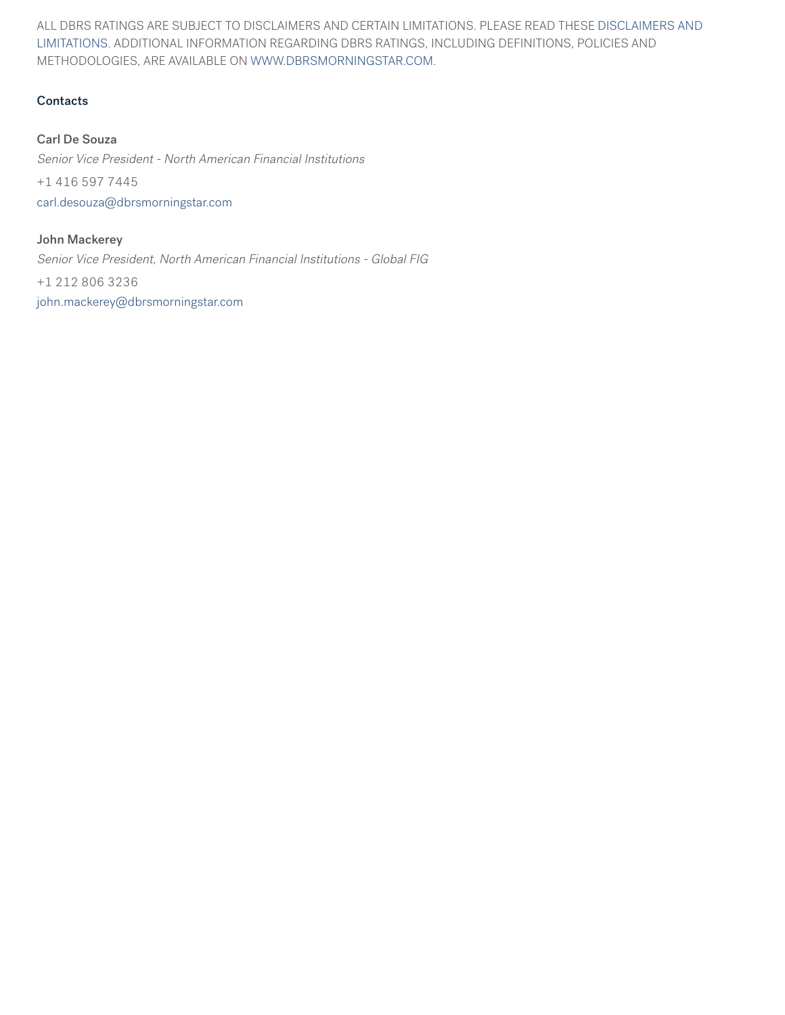ALL DBRS RATINGS ARE SUBJECT TO DISCLAIMERS AND CERTAIN LIMITATIONS. PLEASE READ THESE [DISCLAIMERS AND](https://www.dbrsmorningstar.com/disclaimer/) [LIMITATIONS](https://www.dbrsmorningstar.com/disclaimer/). ADDITIONAL INFORMATION REGARDING DBRS RATINGS, INCLUDING DEFINITIONS, POLICIES AND METHODOLOGIES, ARE AVAILABLE ON [WWW.DBRSMORNINGSTAR.COM](https://www.dbrsmorningstar.com).

## **Contacts**

## Carl De Souza

Senior Vice President - North American Financial Institutions +1 416 597 7445 [carl.desouza@dbrsmorningstar.com](mailto:carl.desouza@dbrsmorningstar.com)

John Mackerey Senior Vice President, North American Financial Institutions - Global FIG +1 212 806 3236

[john.mackerey@dbrsmorningstar.com](mailto:john.mackerey@dbrsmorningstar.com)